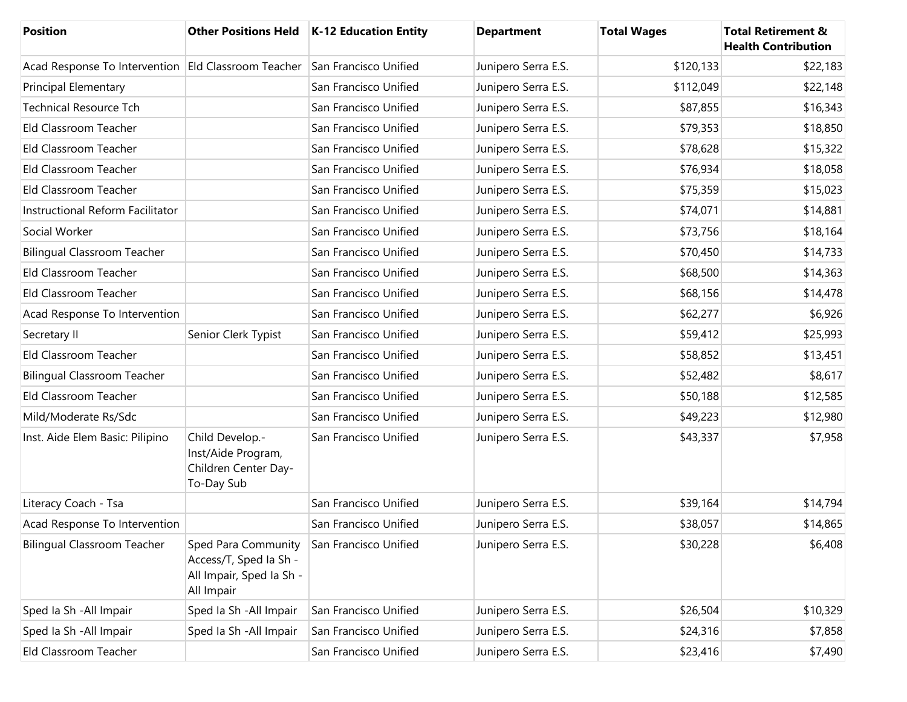| <b>Position</b>                                     | <b>Other Positions Held</b>                                                             | K-12 Education Entity | <b>Department</b>   | <b>Total Wages</b> | <b>Total Retirement &amp;</b><br><b>Health Contribution</b> |
|-----------------------------------------------------|-----------------------------------------------------------------------------------------|-----------------------|---------------------|--------------------|-------------------------------------------------------------|
| Acad Response To Intervention Eld Classroom Teacher |                                                                                         | San Francisco Unified | Junipero Serra E.S. | \$120,133          | \$22,183                                                    |
| <b>Principal Elementary</b>                         |                                                                                         | San Francisco Unified | Junipero Serra E.S. | \$112,049          | \$22,148                                                    |
| <b>Technical Resource Tch</b>                       |                                                                                         | San Francisco Unified | Junipero Serra E.S. | \$87,855           | \$16,343                                                    |
| Eld Classroom Teacher                               |                                                                                         | San Francisco Unified | Junipero Serra E.S. | \$79,353           | \$18,850                                                    |
| Eld Classroom Teacher                               |                                                                                         | San Francisco Unified | Junipero Serra E.S. | \$78,628           | \$15,322                                                    |
| Eld Classroom Teacher                               |                                                                                         | San Francisco Unified | Junipero Serra E.S. | \$76,934           | \$18,058                                                    |
| Eld Classroom Teacher                               |                                                                                         | San Francisco Unified | Junipero Serra E.S. | \$75,359           | \$15,023                                                    |
| Instructional Reform Facilitator                    |                                                                                         | San Francisco Unified | Junipero Serra E.S. | \$74,071           | \$14,881                                                    |
| Social Worker                                       |                                                                                         | San Francisco Unified | Junipero Serra E.S. | \$73,756           | \$18,164                                                    |
| <b>Bilingual Classroom Teacher</b>                  |                                                                                         | San Francisco Unified | Junipero Serra E.S. | \$70,450           | \$14,733                                                    |
| Eld Classroom Teacher                               |                                                                                         | San Francisco Unified | Junipero Serra E.S. | \$68,500           | \$14,363                                                    |
| Eld Classroom Teacher                               |                                                                                         | San Francisco Unified | Junipero Serra E.S. | \$68,156           | \$14,478                                                    |
| Acad Response To Intervention                       |                                                                                         | San Francisco Unified | Junipero Serra E.S. | \$62,277           | \$6,926                                                     |
| Secretary II                                        | Senior Clerk Typist                                                                     | San Francisco Unified | Junipero Serra E.S. | \$59,412           | \$25,993                                                    |
| Eld Classroom Teacher                               |                                                                                         | San Francisco Unified | Junipero Serra E.S. | \$58,852           | \$13,451                                                    |
| <b>Bilingual Classroom Teacher</b>                  |                                                                                         | San Francisco Unified | Junipero Serra E.S. | \$52,482           | \$8,617                                                     |
| Eld Classroom Teacher                               |                                                                                         | San Francisco Unified | Junipero Serra E.S. | \$50,188           | \$12,585                                                    |
| Mild/Moderate Rs/Sdc                                |                                                                                         | San Francisco Unified | Junipero Serra E.S. | \$49,223           | \$12,980                                                    |
| Inst. Aide Elem Basic: Pilipino                     | Child Develop .-<br>Inst/Aide Program,<br>Children Center Day-<br>To-Day Sub            | San Francisco Unified | Junipero Serra E.S. | \$43,337           | \$7,958                                                     |
| Literacy Coach - Tsa                                |                                                                                         | San Francisco Unified | Junipero Serra E.S. | \$39,164           | \$14,794                                                    |
| Acad Response To Intervention                       |                                                                                         | San Francisco Unified | Junipero Serra E.S. | \$38,057           | \$14,865                                                    |
| <b>Bilingual Classroom Teacher</b>                  | Sped Para Community<br>Access/T, Sped Ia Sh -<br>All Impair, Sped Ia Sh -<br>All Impair | San Francisco Unified | Junipero Serra E.S. | \$30,228           | \$6,408                                                     |
| Sped Ia Sh - All Impair                             | Sped Ia Sh - All Impair                                                                 | San Francisco Unified | Junipero Serra E.S. | \$26,504           | \$10,329                                                    |
| Sped Ia Sh - All Impair                             | Sped Ia Sh - All Impair                                                                 | San Francisco Unified | Junipero Serra E.S. | \$24,316           | \$7,858                                                     |
| Eld Classroom Teacher                               |                                                                                         | San Francisco Unified | Junipero Serra E.S. | \$23,416           | \$7,490                                                     |